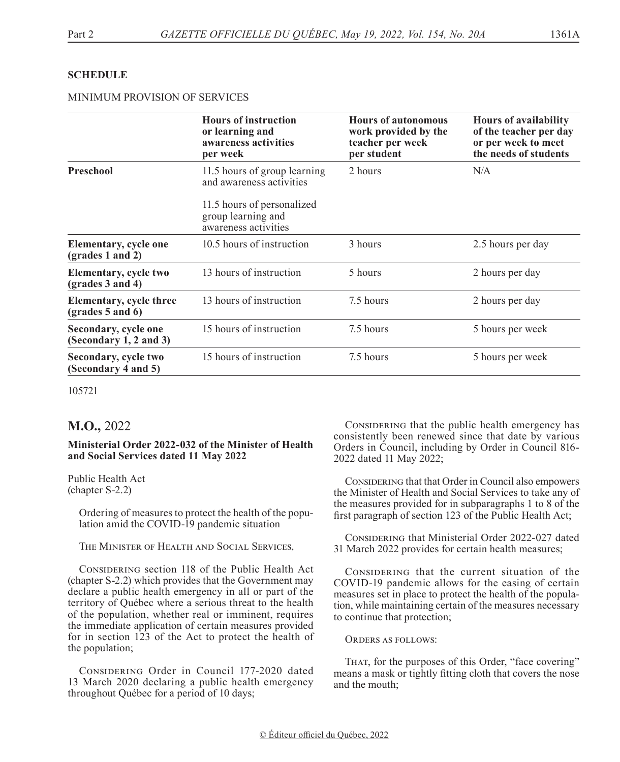## **SCHEDULE**

## MINIMUM PROVISION OF SERVICES

|                                                  | <b>Hours of instruction</b><br>or learning and<br>awareness activities<br>per week | <b>Hours of autonomous</b><br>work provided by the<br>teacher per week<br>per student | <b>Hours of availability</b><br>of the teacher per day<br>or per week to meet<br>the needs of students |
|--------------------------------------------------|------------------------------------------------------------------------------------|---------------------------------------------------------------------------------------|--------------------------------------------------------------------------------------------------------|
| Preschool                                        | 11.5 hours of group learning<br>and awareness activities                           | 2 hours                                                                               | N/A                                                                                                    |
|                                                  | 11.5 hours of personalized<br>group learning and<br>awareness activities           |                                                                                       |                                                                                                        |
| <b>Elementary, cycle one</b><br>(grades 1 and 2) | 10.5 hours of instruction                                                          | 3 hours                                                                               | 2.5 hours per day                                                                                      |
| Elementary, cycle two<br>$(grades 3 and 4)$      | 13 hours of instruction                                                            | 5 hours                                                                               | 2 hours per day                                                                                        |
| Elementary, cycle three<br>$(grades 5 and 6)$    | 13 hours of instruction                                                            | 7.5 hours                                                                             | 2 hours per day                                                                                        |
| Secondary, cycle one<br>(Secondary 1, 2 and 3)   | 15 hours of instruction                                                            | 7.5 hours                                                                             | 5 hours per week                                                                                       |
| Secondary, cycle two<br>(Secondary 4 and 5)      | 15 hours of instruction                                                            | 7.5 hours                                                                             | 5 hours per week                                                                                       |

105721

## **M.O.,** 2022

## **Ministerial Order 2022-032 of the Minister of Health and Social Services dated 11 May 2022**

Public Health Act (chapter S-2.2)

> Ordering of measures to protect the health of the population amid the COVID-19 pandemic situation

The Minister of Health and Social Services,

CONSIDERING section 118 of the Public Health Act (chapter S-2.2) which provides that the Government may declare a public health emergency in all or part of the territory of Québec where a serious threat to the health of the population, whether real or imminent, requires the immediate application of certain measures provided for in section 123 of the Act to protect the health of the population;

CONSIDERING Order in Council 177-2020 dated 13 March 2020 declaring a public health emergency throughout Québec for a period of 10 days;

CONSIDERING that the public health emergency has consistently been renewed since that date by various Orders in Council, including by Order in Council 816- 2022 dated 11 May 2022;

CONSIDERING that that Order in Council also empowers the Minister of Health and Social Services to take any of the measures provided for in subparagraphs 1 to 8 of the first paragraph of section 123 of the Public Health Act;

CONSIDERING that Ministerial Order 2022-027 dated 31 March 2022 provides for certain health measures;

CONSIDERING that the current situation of the COVID-19 pandemic allows for the easing of certain measures set in place to protect the health of the population, while maintaining certain of the measures necessary to continue that protection;

ORDERS AS FOLLOWS:

THAT, for the purposes of this Order, "face covering" means a mask or tightly fitting cloth that covers the nose and the mouth;